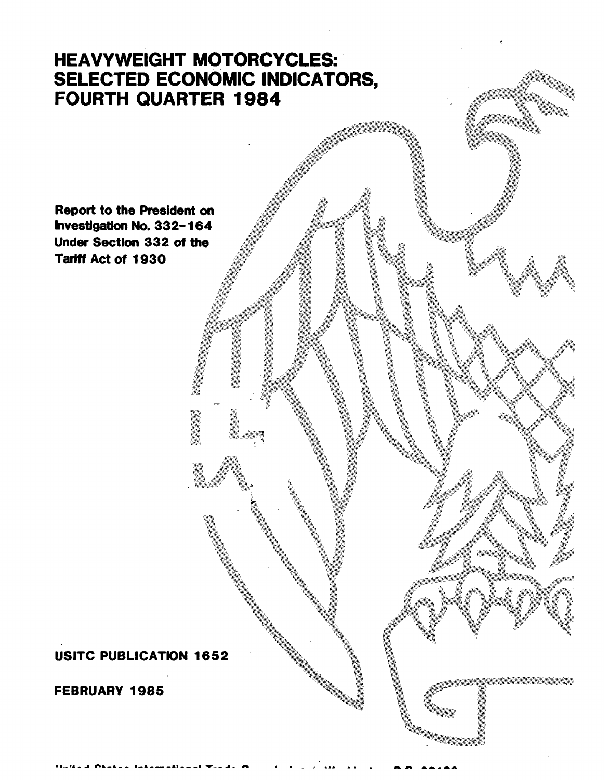## **HEAVYWEIGHT MOTORCYCLES:** SELECTED ECONOMIC INDICATORS, FOURTH QUARTER 1984

**CONTROLLER** 

**Report to the President on** Investigation No. 332-164 Under Section 332 of the Tariff Act of 1930

**USITC PUBLICATION 1652** 

**FEBRUARY 1985**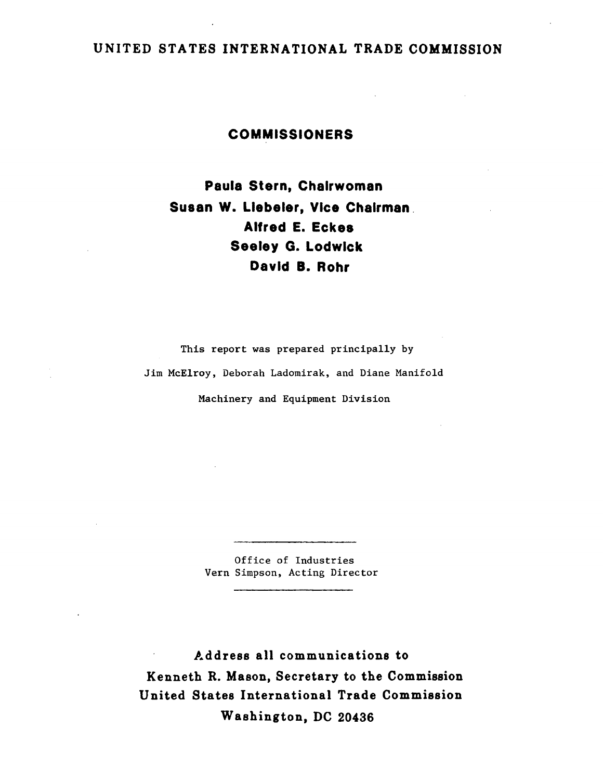## UNITED STATES INTERNATIONAL TRADE COMMISSION

## COMMISSIONERS

Paula Stern. Chairwoman Susan W. Llebeler. Vice Chairman. Alfred E. Eckes Seeley G. Lodwick David B. Rohr

This report was prepared principally by Jim McElroy, Deborah Ladomirak, and Diane Manifold Machinery and Equipment Division

> Office of Industries Vern Simpson, Acting Director

Address all communications to Kenneth R. Mason, Secretary to the Commission United States International Trade Commission Washington, DC 20436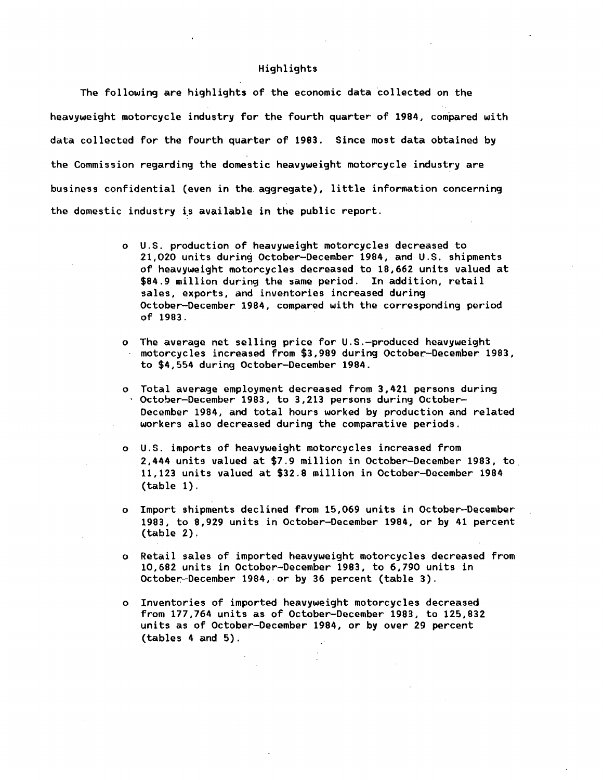## Highlights

The following are highlights of the economic data collected on the heavyweight motorcycle industry for the fourth quarter of 1984, compared with data collected for the fourth quarter of 1983. Since most data obtained by the Commission regarding the domestic heavyweight motorcycle industry are business confidential (even in the. aggregate), little information concerning the domestic industry is available in the public report.

- o U.S. production of heavyweight motorcycles decreased to 21,020 units during October-December 1984, and U.S. shipments of heavyweight motorcycles decreased to 18,662 units valued at \$84.9 million during the same period. In addition, retail sales, exports, and inventories increased during October-December 1984, compared with the corresponding period of 1983.
- o The average net selling price for U.S.-produced heavyweight motorcycles increased from \$3,989 during October.-December 1983, to \$4,554 during October-December 1984.
- o Total average employment decreased from 3,421 persons during<br>· October-December 1983, to 3,213 persons during October-Oecember 1984, and total hours worked by production and related workers also decreased during the comparative periods.
- o U.S. imports of heavyweight motorcycles increased from 2,444 units valued at \$7.9 million in October-December 1983, to 11,123 units valued at \$32.8 million in October-December 1984 (table 1).
- o Import shipments declined from 15,069 units in October-December 1983, to 8,929 units in October-December 1984, or by 41 percent (table 2).
- o Retail sales of imported heavyweight motorcycles decreased from 10,682 units in October-December 1983, to 6,790 units in October.-December 1984, or by 36 percent (table 3).
- o Inventories of imported heavyweight motorcycles decreased from 177,764 units as of October-December 1983, to 125,832 units as of October-December 1984, or by over 29 percent (tables 4 and 5).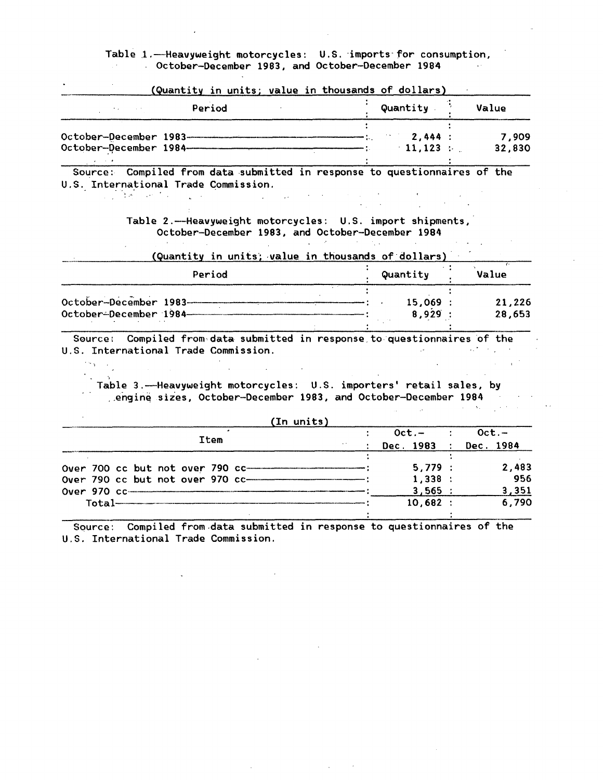Table 1.-Heavyweight motorcycles: U.S. imports for consumption, October-December 1983, and October-December 1984

|                                 | (Quantity in units; value in thousands of dollars) |  |           |       |        |
|---------------------------------|----------------------------------------------------|--|-----------|-------|--------|
|                                 | Period                                             |  | Quantity  | Value |        |
| October-December 1983---------- |                                                    |  | 2.444:    |       | 7.909  |
| October-December 1984-          |                                                    |  | $-11.123$ |       | 32,830 |

Source: Compiled from data submitted in response to questionnaires of the U.S. International Trade Commission.  $\Delta\mu$  , where  $\mu$  is the space of  $\mu$ 

 $\Delta \sim 10^4$ 

Table 2.-Heavyweight motorcycles: U.S. import shipments, October-December 1983, and October-December 1984

 $\mathcal{A}$ 

 $\sim 10^{-10}$ 

(Quantity in units; value in thousands of dollars)

|                                                  | Period | Quantity        | Value            |
|--------------------------------------------------|--------|-----------------|------------------|
| October-December 1983-<br>October-December 1984- |        | 15,069<br>8,929 | 21,226<br>28,653 |

Source: Compiled from data submitted in response to questionnaires of the S. International Trade Commission. U.S. International Trade Commission.

'···.

; Table 3.-Heavyweight motorcycles: U.S. importers' retail sales, by .. engin~ sizes, October-December 1983, and October-December 1984

|  |      |  |                          |                       | (In units)                       |          |          |
|--|------|--|--------------------------|-----------------------|----------------------------------|----------|----------|
|  |      |  |                          |                       |                                  | $Oct. -$ | $Oct. -$ |
|  | Item |  |                          | Dec. 1983 : Dec. 1984 |                                  |          |          |
|  |      |  |                          |                       |                                  |          |          |
|  |      |  |                          |                       | Over 700 cc but not over 790 cc- | 5.779:   | 2.483    |
|  |      |  |                          |                       | Over 790 cc but not over 970 cc- | 1,338:   | 956      |
|  |      |  |                          |                       |                                  | 3,565:   | 3,351    |
|  |      |  | <u> Total———————————</u> |                       |                                  | 10.682:  | 6.790    |
|  |      |  |                          |                       |                                  |          |          |

Source: Compiled from data submitted in response to questionnaires of the U.S. International Trade Commission.